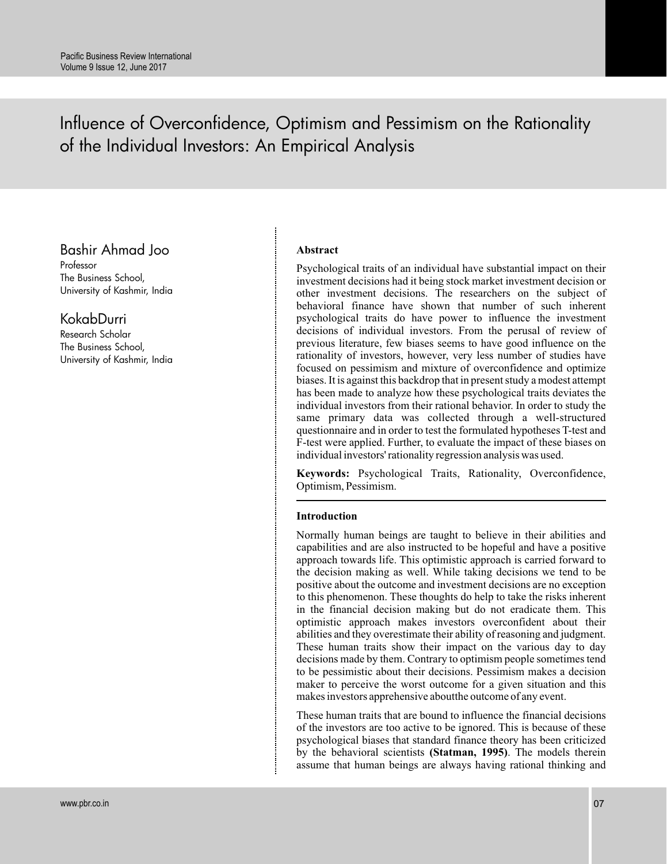# Influence of Overconfidence, Optimism and Pessimism on the Rationality of the Individual Investors: An Empirical Analysis

# Bashir Ahmad Joo

Professor The Business School, University of Kashmir, India

# KokabDurri

Research Scholar The Business School, University of Kashmir, India

## **Abstract**

Psychological traits of an individual have substantial impact on their investment decisions had it being stock market investment decision or other investment decisions. The researchers on the subject of behavioral finance have shown that number of such inherent psychological traits do have power to influence the investment decisions of individual investors. From the perusal of review of previous literature, few biases seems to have good influence on the rationality of investors, however, very less number of studies have focused on pessimism and mixture of overconfidence and optimize biases. It is against this backdrop that in present study a modest attempt has been made to analyze how these psychological traits deviates the individual investors from their rational behavior. In order to study the same primary data was collected through a well-structured questionnaire and in order to test the formulated hypotheses T-test and F-test were applied. Further, to evaluate the impact of these biases on individual investors' rationality regression analysis was used.

**Keywords:** Psychological Traits, Rationality, Overconfidence, Optimism, Pessimism.

### **Introduction**

Normally human beings are taught to believe in their abilities and capabilities and are also instructed to be hopeful and have a positive approach towards life. This optimistic approach is carried forward to the decision making as well. While taking decisions we tend to be positive about the outcome and investment decisions are no exception to this phenomenon. These thoughts do help to take the risks inherent in the financial decision making but do not eradicate them. This optimistic approach makes investors overconfident about their abilities and they overestimate their ability of reasoning and judgment. These human traits show their impact on the various day to day decisions made by them. Contrary to optimism people sometimes tend to be pessimistic about their decisions. Pessimism makes a decision maker to perceive the worst outcome for a given situation and this makes investors apprehensive aboutthe outcome of any event.

These human traits that are bound to influence the financial decisions of the investors are too active to be ignored. This is because of these psychological biases that standard finance theory has been criticized by the behavioral scientists (Statman, 1995). The models therein assume that human beings are always having rational thinking and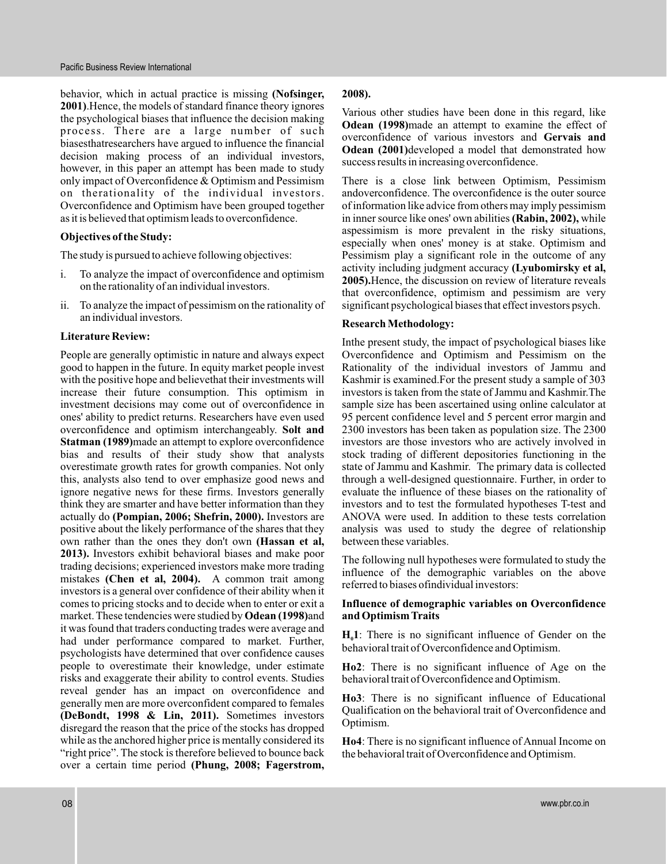behavior, which in actual practice is missing **(Nofsinger,** 2001). Hence, the models of standard finance theory ignores the psychological biases that influence the decision making process. There are a large number of such biasesthatresearchers have argued to influence the financial decision making process of an individual investors, however, in this paper an attempt has been made to study only impact of Overconfidence & Optimism and Pessimism on the rationality of the individual investors. Overconfidence and Optimism have been grouped together as it is believed that optimism leads to overconfidence.

#### **Objectives of the Study:**

The study is pursued to achieve following objectives:

- i. To analyze the impact of overconfidence and optimism on the rationality of an individual investors.
- ii. To analyze the impact of pessimism on the rationality of an individual investors.

#### **Literature Review:**

People are generally optimistic in nature and always expect good to happen in the future. In equity market people invest with the positive hope and believethat their investments will increase their future consumption. This optimism in investment decisions may come out of overconfidence in ones' ability to predict returns. Researchers have even used overconfidence and optimism interchangeably. **Solt and** Statman (1989) made an attempt to explore overconfidence bias and results of their study show that analysts overestimate growth rates for growth companies. Not only this, analysts also tend to over emphasize good news and ignore negative news for these firms. Investors generally think they are smarter and have better information than they actually do (Pompian, 2006; Shefrin, 2000). Investors are positive about the likely performance of the shares that they own rather than the ones they don't own **(Hassan et al,** 2013). Investors exhibit behavioral biases and make poor trading decisions; experienced investors make more trading mistakes (Chen et al, 2004). A common trait among investors is a general over confidence of their ability when it comes to pricing stocks and to decide when to enter or exit a market. These tendencies were studied by Odean (1998)and it was found that traders conducting trades were average and had under performance compared to market. Further, psychologists have determined that over confidence causes people to overestimate their knowledge, under estimate risks and exaggerate their ability to control events. Studies reveal gender has an impact on overconfidence and generally men are more overconfident compared to females **(DeBondt, 1998 & Lin, 2011).** Sometimes investors disregard the reason that the price of the stocks has dropped while as the anchored higher price is mentally considered its "right price". The stock is therefore believed to bounce back over a certain time period **(Phung, 2008; Fagerstrom,**

#### **2008).**

Various other studies have been done in this regard, like Odean (1998)made an attempt to examine the effect of overconfidence of various investors and **Gervais and** Odean (2001)developed a model that demonstrated how success results in increasing overconfidence.

There is a close link between Optimism, Pessimism andoverconfidence. The overconfidence is the outer source of information like advice from others may imply pessimism in inner source like ones' own abilities (Rabin, 2002), while aspessimism is more prevalent in the risky situations, especially when ones' money is at stake. Optimism and Pessimism play a significant role in the outcome of any activity including judgment accuracy **(Lyubomirsky et al,** 2005). Hence, the discussion on review of literature reveals that overconfidence, optimism and pessimism are very significant psychological biases that effect investors psych.

#### **Research Methodology:**

Inthe present study, the impact of psychological biases like Overconfidence and Optimism and Pessimism on the Rationality of the individual investors of Jammu and Kashmir is examined.For the present study a sample of 303 investors is taken from the state of Jammu and Kashmir.The sample size has been ascertained using online calculator at 95 percent confidence level and 5 percent error margin and 2300 investors has been taken as population size. The 2300 investors are those investors who are actively involved in stock trading of different depositories functioning in the state of Jammu and Kashmir. The primary data is collected through a well-designed questionnaire. Further, in order to evaluate the influence of these biases on the rationality of investors and to test the formulated hypotheses T-test and ANOVA were used. In addition to these tests correlation analysis was used to study the degree of relationship between these variables.

The following null hypotheses were formulated to study the influence of the demographic variables on the above referred to biases ofindividual investors:

#### **Influence of demographic variables on Overconfidence and Optimism Traits**

 $H_0$ 1: There is no significant influence of Gender on the behavioral trait of Overconfidence and Optimism.

: There is no significant influence of Age on the **Ho2** behavioral trait of Overconfidence and Optimism.

: There is no significant influence of Educational **Ho3** Qualification on the behavioral trait of Overconfidence and Optimism.

: There is no significant influence of Annual Income on **Ho4** the behavioral trait of Overconfidence and Optimism.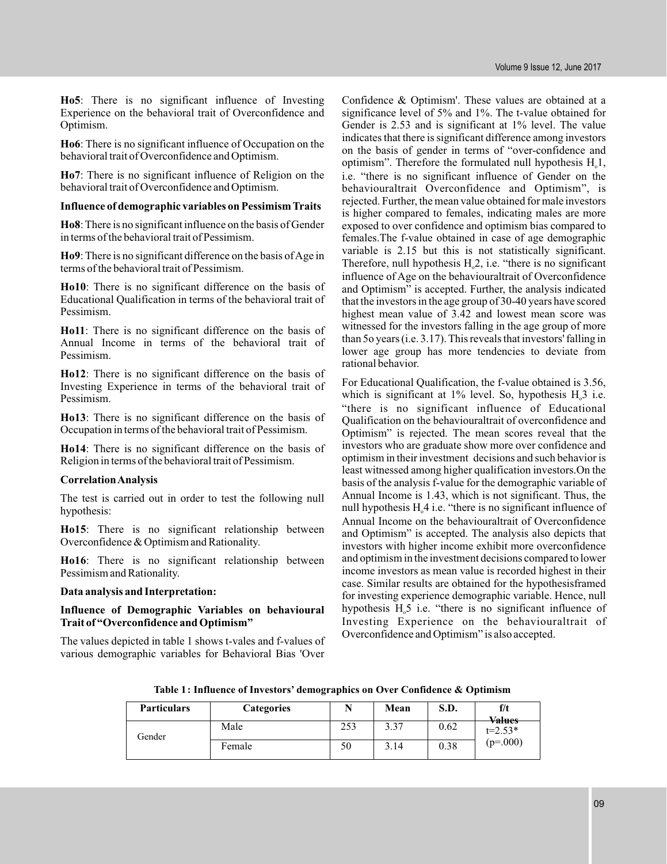**Ho5** : There is no significant influence of Investing Experience on the behavioral trait of Overconfidence and Optimism.

**Ho6** : There is no significant influence of Occupation on the behavioral trait of Overconfidence and Optimism.

**Ho7** : There is no significant influence of Religion on the behavioral trait of Overconfidence and Optimism.

#### **Influence of demographic variables on Pessimism Traits**

**Ho8** : There is no significant influence on the basis of Gender in terms of the behavioral trait of Pessimism.

**Ho9** : There is no significant difference on the basis ofAge in terms of the behavioral trait of Pessimism.

**Ho10** : There is no significant difference on the basis of Educational Qualification in terms of the behavioral trait of Pessimism.

**Ho11** : There is no significant difference on the basis of Annual Income in terms of the behavioral trait of Pessimism.

**Ho12** : There is no significant difference on the basis of Investing Experience in terms of the behavioral trait of Pessimism.

**Ho13** : There is no significant difference on the basis of Occupation in terms of the behavioral trait of Pessimism.

**Ho14** : There is no significant difference on the basis of Religion in terms of the behavioral trait of Pessimism.

#### **CorrelationAnalysis**

The test is carried out in order to test the following null hypothesis:

**Ho15** : There is no significant relationship between Overconfidence & Optimism and Rationality.

**Ho16** : There is no significant relationship between Pessimism and Rationality.

#### **Data analysis and Interpretation:**

#### **Influence of Demographic Variables on behavioural Trait of "Overconfidence and Optimism"**

The values depicted in table 1 shows t-vales and f-values of various demographic variables for Behavioral Bias 'Over

Confidence & Optimism'. These values are obtained at a significance level of 5% and 1%. The t-value obtained for Gender is 2.53 and is significant at 1% level. The value indicates that there is significant difference among investors on the basis of gender in terms of "over-confidence and optimism". Therefore the formulated null hypothesis  $H_0$ 1, i.e. "there is no significant influence of Gender on the behaviouraltrait Overconfidence and Optimism", is rejected. Further, the mean value obtained for male investors is higher compared to females, indicating males are more exposed to over confidence and optimism bias compared to females.The f-value obtained in case of age demographic variable is 2.15 but this is not statistically significant. Therefore, null hypothesis  $H<sub>o</sub>2$ , i.e. "there is no significant influence of Age on the behaviouraltrait of Overconfidence and Optimism" is accepted. Further, the analysis indicated that the investors in the age group of 30-40 years have scored highest mean value of 3.42 and lowest mean score was witnessed for the investors falling in the age group of more than 5o years (i.e. 3.17). This reveals that investors' falling in lower age group has more tendencies to deviate from rational behavior.

For Educational Qualification, the f-value obtained is 3.56, which is significant at  $1\%$  level. So, hypothesis  $H<sub>o</sub>3$  i.e. "there is no significant influence of Educational Qualification on the behaviouraltrait of overconfidence and Optimism" is rejected. The mean scores reveal that the investors who are graduate show more over confidence and optimism in their investment decisions and such behavior is least witnessed among higher qualification investors.On the basis of the analysis f-value for the demographic variable of Annual Income is 1.43, which is not significant. Thus, the null hypothesis  $H_0^4$  i.e. "there is no significant influence of Annual Income on the behaviouraltrait of Overconfidence and Optimism" is accepted. The analysis also depicts that investors with higher income exhibit more overconfidence and optimism in the investment decisions compared to lower income investors as mean value is recorded highest in their case. Similar results are obtained for the hypothesisframed for investing experience demographic variable. Hence, null hypothesis  $H<sub>o</sub>5$  i.e. "there is no significant influence of Investing Experience on the behaviouraltrait of Overconfidence and Optimism" is also accepted.

**Table 1: Influence of Investors' demographics on Over Confidence & Optimism**

| <b>Particulars</b> | <b>Categories</b> |     | Mean | S.D. | f/t<br><b>Values</b>      |
|--------------------|-------------------|-----|------|------|---------------------------|
| Gender             | Male              | 253 | 3.37 | 0.62 | $t = 2.53*$<br>$(p=.000)$ |
|                    | Female            | 50  | 3.14 | 0.38 |                           |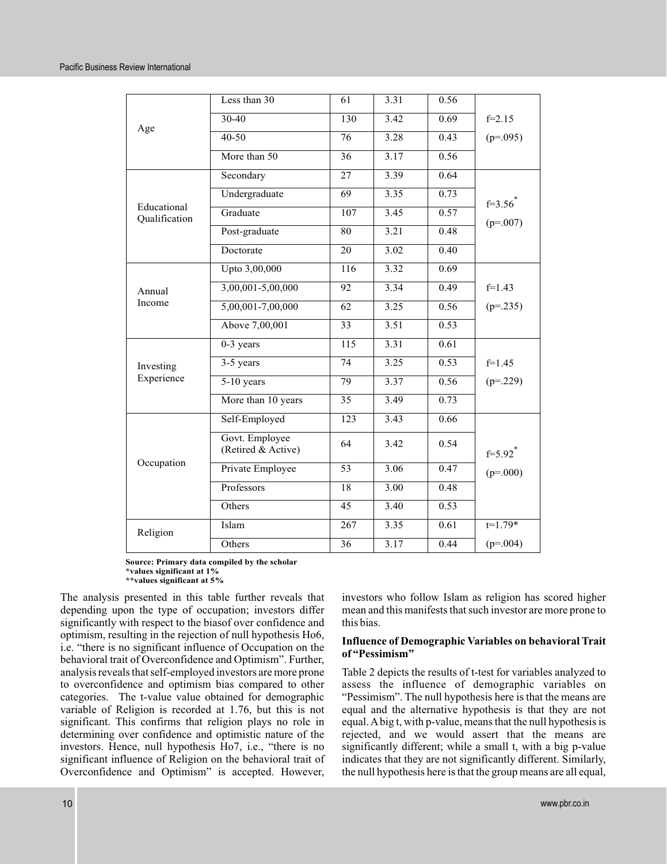| Age                          | Less than 30                         | 61               | 3.31 | 0.56              |                         |
|------------------------------|--------------------------------------|------------------|------|-------------------|-------------------------|
|                              | $30 - 40$                            | 130              | 3.42 | 0.69              | $f=2.15$                |
|                              | $40 - 50$                            | 76               | 3.28 | 0.43              | $(p=.095)$              |
|                              | More than 50                         | 36               | 3.17 | 0.56              |                         |
| Educational<br>Qualification | Secondary                            | 27               | 3.39 | 0.64              |                         |
|                              | Undergraduate                        | 69               | 3.35 | 0.73              | $f=3.56$ <sup>*</sup>   |
|                              | Graduate                             | $\overline{107}$ | 3.45 | 0.57              | $(p=.007)$              |
|                              | Post-graduate                        | 80               | 3.21 | 0.48              |                         |
|                              | Doctorate                            | 20               | 3.02 | 0.40              |                         |
| Annual<br>Income             | Upto 3,00,000                        | 116              | 3.32 | 0.69              |                         |
|                              | $3,00,001 - 5,00,000$                | 92               | 3.34 | 0.49              | $f=1.43$                |
|                              | 5,00,001-7,00,000                    | $\overline{62}$  | 3.25 | 0.56              | $(p=.235)$              |
|                              | Above 7,00,001                       | 33               | 3.51 | 0.53              |                         |
|                              | $0-3$ years                          | 115              | 3.31 | 0.61              |                         |
| Investing                    | 3-5 years                            | 74               | 3.25 | 0.53              | $f=1.45$                |
| Experience                   | $5-10$ years                         | 79               | 3.37 | 0.56              | $(p=.229)$              |
|                              | More than 10 years                   | $\overline{35}$  | 3,49 | 0.73              |                         |
| Occupation                   | Self-Employed                        | 123              | 3.43 | 0.66              |                         |
|                              | Govt. Employee<br>(Retired & Active) | 64               | 3.42 | 0.54              | $f = 5.92$ <sup>*</sup> |
|                              | Private Employee                     | 53               | 3.06 | 0.47              | $(p=.000)$              |
|                              | Professors                           | 18               | 3.00 | 0.48              |                         |
|                              | Others                               | 45               | 3.40 | 0.53              |                         |
| Religion                     | Islam                                | 267              | 3.35 | $\overline{0.61}$ | $t=1.79*$               |
|                              | Others                               | $\overline{36}$  | 3.17 | 0.44              | $(p=.004)$              |

**Source: Primary data compiled by the scholar \*values significant at 1%**

**\*\*values significant at 5%**

The analysis presented in this table further reveals that depending upon the type of occupation; investors differ significantly with respect to the biasof over confidence and optimism, resulting in the rejection of null hypothesis Ho6, i.e. "there is no significant influence of Occupation on the behavioral trait of Overconfidence and Optimism". Further, analysis reveals that self-employed investors are more prone to overconfidence and optimism bias compared to other categories. The t-value value obtained for demographic variable of Religion is recorded at 1.76, but this is not significant. This confirms that religion plays no role in determining over confidence and optimistic nature of the investors. Hence, null hypothesis Ho7, i.e., "there is no significant influence of Religion on the behavioral trait of Overconfidence and Optimism" is accepted. However,

investors who follow Islam as religion has scored higher mean and this manifests that such investor are more prone to this bias.

#### **Influence of Demographic Variables on behavioral Trait of "Pessimism"**

Table 2 depicts the results of t-test for variables analyzed to assess the influence of demographic variables on "Pessimism". The null hypothesis here is that the means are equal and the alternative hypothesis is that they are not equal.A big t, with p-value, means that the null hypothesis is rejected, and we would assert that the means are significantly different; while a small t, with a big p-value indicates that they are not significantly different. Similarly, the null hypothesis here is that the group means are all equal,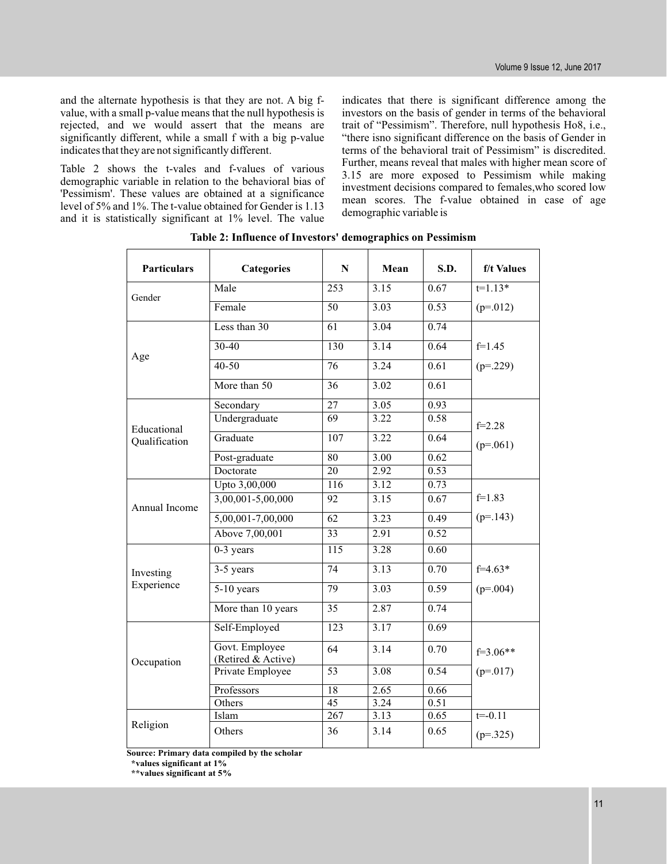and the alternate hypothesis is that they are not. A big fvalue, with a small p-value means that the null hypothesis is rejected, and we would assert that the means are significantly different, while a small f with a big p-value indicates that they are not significantly different.

Table 2 shows the t-vales and f-values of various demographic variable in relation to the behavioral bias of 'Pessimism'. These values are obtained at a significance level of 5% and 1%. The t-value obtained for Gender is 1.13 and it is statistically significant at 1% level. The value

indicates that there is significant difference among the investors on the basis of gender in terms of the behavioral trait of "Pessimism". Therefore, null hypothesis Ho8, i.e., "there isno significant difference on the basis of Gender in terms of the behavioral trait of Pessimism" is discredited. Further, means reveal that males with higher mean score of 3.15 are more exposed to Pessimism while making investment decisions compared to females,who scored low mean scores. The f-value obtained in case of age demographic variable is

| <b>Particulars</b>           | <b>Categories</b>                    | N                | Mean | S.D. | f/t Values  |
|------------------------------|--------------------------------------|------------------|------|------|-------------|
| Gender                       | Male                                 | $\overline{253}$ | 3.15 | 0.67 | $t=1.13*$   |
|                              | Female                               | $\overline{50}$  | 3.03 | 0.53 | $(p=.012)$  |
| Age                          | Less than 30                         | $\overline{61}$  | 3.04 | 0.74 |             |
|                              | $30-40$                              | $\overline{130}$ | 3.14 | 0.64 | $f=1.45$    |
|                              | $40 - 50$                            | $\overline{76}$  | 3.24 | 0.61 | $(p=.229)$  |
|                              | More than 50                         | 36               | 3.02 | 0.61 |             |
| Educational<br>Qualification | Secondary                            | 27               | 3.05 | 0.93 |             |
|                              | Undergraduate                        | $\overline{69}$  | 3.22 | 0.58 | $f=2.28$    |
|                              | Graduate                             | $\overline{107}$ | 3.22 | 0.64 | $(p=.061)$  |
|                              | Post-graduate                        | 80               | 3.00 | 0.62 |             |
|                              | Doctorate                            | 20               | 2.92 | 0.53 |             |
| Annual Income                | Upto 3,00,000                        | $\overline{116}$ | 3.12 | 0.73 |             |
|                              | $3,00,001 - 5,00,000$                | 92               | 3.15 | 0.67 | $f=1.83$    |
|                              | $5,00,001 - 7,00,000$                | 62               | 3.23 | 0.49 | $(p=143)$   |
|                              | Above 7,00,001                       | 33               | 2.91 | 0.52 |             |
|                              | $0-3$ years                          | 115              | 3.28 | 0.60 |             |
| Investing<br>Experience      | 3-5 years                            | $\overline{74}$  | 3.13 | 0.70 | $f=4.63*$   |
|                              | $5-10$ years                         | 79               | 3.03 | 0.59 | $(p=.004)$  |
|                              | More than 10 years                   | $\overline{35}$  | 2.87 | 0.74 |             |
| Occupation                   | Self-Employed                        | $\overline{123}$ | 3.17 | 0.69 |             |
|                              | Govt. Employee<br>(Retired & Active) | 64               | 3.14 | 0.70 | $f=3.06**$  |
|                              | Private Employee                     | $\overline{53}$  | 3.08 | 0.54 | $(p=.017)$  |
|                              | Professors                           | $\overline{18}$  | 2.65 | 0.66 |             |
|                              | Others                               | 45               | 3.24 | 0.51 |             |
|                              | Islam                                | 267              | 3.13 | 0.65 | $t = -0.11$ |
| Religion                     | Others                               | 36               | 3.14 | 0.65 | $(p=.325)$  |

**Table 2: Influence of Investors' demographics on Pessimism**

**Source: Primary data compiled by the scholar**

**\*values significant at 1%**

**\*\*values significant at 5%**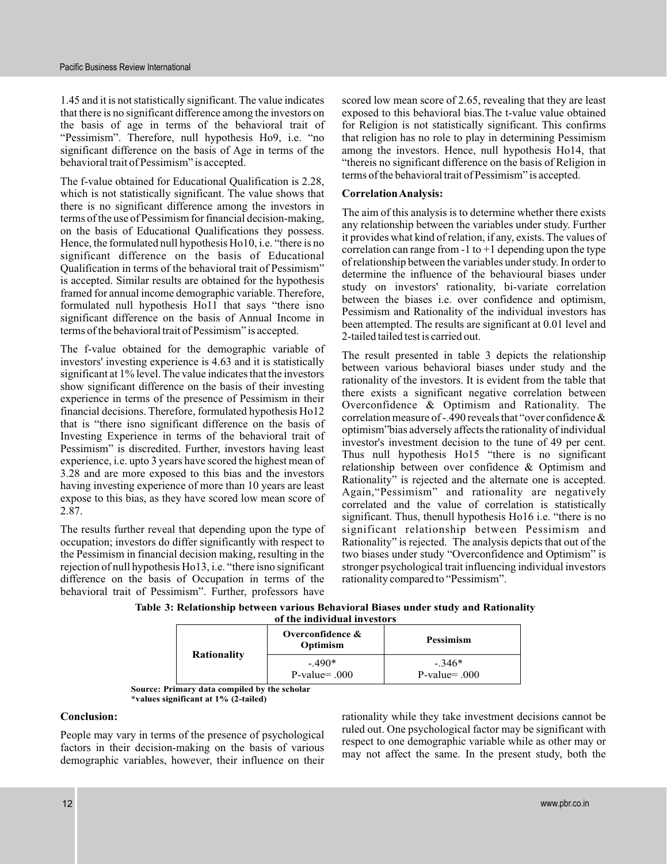1.45 and it is not statistically significant. The value indicates that there is no significant difference among the investors on the basis of age in terms of the behavioral trait of "Pessimism". Therefore, null hypothesis Ho9, i.e. "no significant difference on the basis of Age in terms of the behavioral trait of Pessimism" is accepted.

The f-value obtained for Educational Qualification is 2.28, which is not statistically significant. The value shows that there is no significant difference among the investors in terms of the use of Pessimism for financial decision-making, on the basis of Educational Qualifications they possess. Hence, the formulated null hypothesis Ho10, i.e. "there is no significant difference on the basis of Educational Qualification in terms of the behavioral trait of Pessimism" is accepted. Similar results are obtained for the hypothesis framed for annual income demographic variable. Therefore, formulated null hypothesis Ho11 that says "there isno significant difference on the basis of Annual Income in terms of the behavioral trait of Pessimism" is accepted.

The f-value obtained for the demographic variable of investors' investing experience is 4.63 and it is statistically significant at 1% level. The value indicates that the investors show significant difference on the basis of their investing experience in terms of the presence of Pessimism in their financial decisions. Therefore, formulated hypothesis Ho12 that is "there isno significant difference on the basis of Investing Experience in terms of the behavioral trait of Pessimism" is discredited. Further, investors having least experience, i.e. upto 3 years have scored the highest mean of 3.28 and are more exposed to this bias and the investors having investing experience of more than 10 years are least expose to this bias, as they have scored low mean score of 2.87.

The results further reveal that depending upon the type of occupation; investors do differ significantly with respect to the Pessimism in financial decision making, resulting in the rejection of null hypothesis Ho13, i.e. "there isno significant difference on the basis of Occupation in terms of the behavioral trait of Pessimism". Further, professors have

scored low mean score of 2.65, revealing that they are least exposed to this behavioral bias.The t-value value obtained for Religion is not statistically significant. This confirms that religion has no role to play in determining Pessimism among the investors. Hence, null hypothesis Ho14, that "thereis no significant difference on the basis of Religion in terms of the behavioral trait of Pessimism" is accepted.

#### **CorrelationAnalysis:**

The aim of this analysis is to determine whether there exists any relationship between the variables under study. Further it provides what kind of relation, if any, exists. The values of correlation can range from  $-1$  to  $+1$  depending upon the type of relationship between the variables under study. In order to determine the influence of the behavioural biases under study on investors' rationality, bi-variate correlation between the biases i.e. over confidence and optimism, Pessimism and Rationality of the individual investors has been attempted. The results are significant at 0.01 level and 2-tailed tailed test is carried out.

The result presented in table 3 depicts the relationship between various behavioral biases under study and the rationality of the investors. It is evident from the table that there exists a significant negative correlation between Overconfidence & Optimism and Rationality. The correlation measure of -.490 reveals that "over confidence  $\&$ optimism"bias adversely affects the rationality of individual investor's investment decision to the tune of 49 per cent. Thus null hypothesis Ho15 "there is no significant relationship between over confidence & Optimism and Rationality" is rejected and the alternate one is accepted. Again,"Pessimism" and rationality are negatively correlated and the value of correlation is statistically significant. Thus, thenull hypothesis Ho16 i.e. "there is no significant relationship between Pessimism and Rationality" is rejected. The analysis depicts that out of the two biases under study "Overconfidence and Optimism" is stronger psychological trait influencing individual investors rationality compared to "Pessimism".

**Table 3: Relationship between various Behavioral Biases under study and Rationality of the individual investors**

| <b>Rationality</b> | Overconfidence $\&$<br>Optimism | <b>Pessimism</b>             |
|--------------------|---------------------------------|------------------------------|
|                    | $-.490*$<br>$P-value = .000$    | $-.346*$<br>$P-value = .000$ |

**Source: Primary data compiled by the scholar \*values significant at 1% (2-tailed)**

#### **Conclusion:**

People may vary in terms of the presence of psychological factors in their decision-making on the basis of various demographic variables, however, their influence on their rationality while they take investment decisions cannot be ruled out. One psychological factor may be significant with respect to one demographic variable while as other may or may not affect the same. In the present study, both the